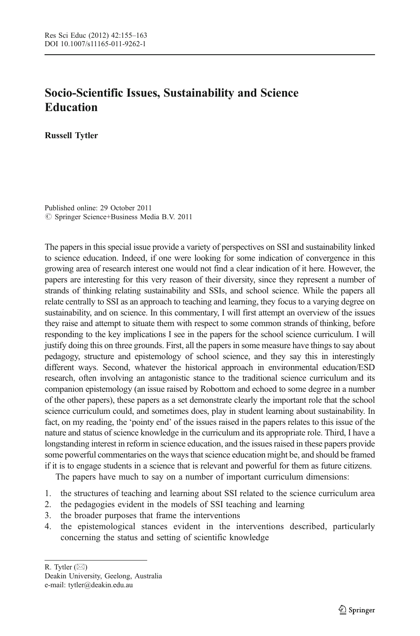# Socio-Scientific Issues, Sustainability and Science **Education**

Russell Tytler

Published online: 29 October 2011  $\circledcirc$  Springer Science+Business Media B.V. 2011

The papers in this special issue provide a variety of perspectives on SSI and sustainability linked to science education. Indeed, if one were looking for some indication of convergence in this growing area of research interest one would not find a clear indication of it here. However, the papers are interesting for this very reason of their diversity, since they represent a number of strands of thinking relating sustainability and SSIs, and school science. While the papers all relate centrally to SSI as an approach to teaching and learning, they focus to a varying degree on sustainability, and on science. In this commentary, I will first attempt an overview of the issues they raise and attempt to situate them with respect to some common strands of thinking, before responding to the key implications I see in the papers for the school science curriculum. I will justify doing this on three grounds. First, all the papers in some measure have things to say about pedagogy, structure and epistemology of school science, and they say this in interestingly different ways. Second, whatever the historical approach in environmental education/ESD research, often involving an antagonistic stance to the traditional science curriculum and its companion epistemology (an issue raised by Robottom and echoed to some degree in a number of the other papers), these papers as a set demonstrate clearly the important role that the school science curriculum could, and sometimes does, play in student learning about sustainability. In fact, on my reading, the 'pointy end' of the issues raised in the papers relates to this issue of the nature and status of science knowledge in the curriculum and its appropriate role. Third, I have a longstanding interest in reform in science education, and the issues raised in these papers provide some powerful commentaries on the ways that science education might be, and should be framed if it is to engage students in a science that is relevant and powerful for them as future citizens.

The papers have much to say on a number of important curriculum dimensions:

- 1. the structures of teaching and learning about SSI related to the science curriculum area
- 2. the pedagogies evident in the models of SSI teaching and learning
- 3. the broader purposes that frame the interventions
- 4. the epistemological stances evident in the interventions described, particularly concerning the status and setting of scientific knowledge

R. Tytler  $(\boxtimes)$ 

Deakin University, Geelong, Australia

e-mail: tytler@deakin.edu.au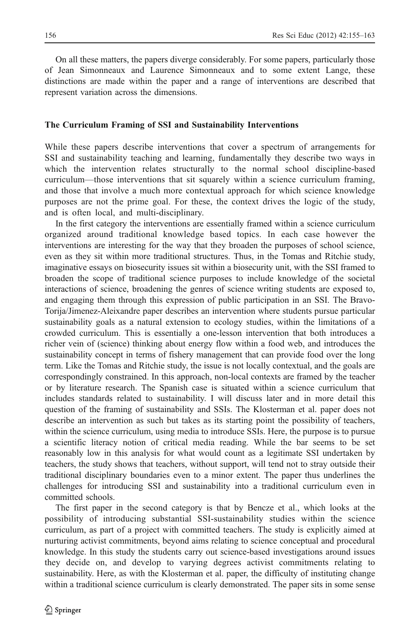On all these matters, the papers diverge considerably. For some papers, particularly those of Jean Simonneaux and Laurence Simonneaux and to some extent Lange, these distinctions are made within the paper and a range of interventions are described that represent variation across the dimensions.

#### The Curriculum Framing of SSI and Sustainability Interventions

While these papers describe interventions that cover a spectrum of arrangements for SSI and sustainability teaching and learning, fundamentally they describe two ways in which the intervention relates structurally to the normal school discipline-based curriculum—those interventions that sit squarely within a science curriculum framing, and those that involve a much more contextual approach for which science knowledge purposes are not the prime goal. For these, the context drives the logic of the study, and is often local, and multi-disciplinary.

In the first category the interventions are essentially framed within a science curriculum organized around traditional knowledge based topics. In each case however the interventions are interesting for the way that they broaden the purposes of school science, even as they sit within more traditional structures. Thus, in the Tomas and Ritchie study, imaginative essays on biosecurity issues sit within a biosecurity unit, with the SSI framed to broaden the scope of traditional science purposes to include knowledge of the societal interactions of science, broadening the genres of science writing students are exposed to, and engaging them through this expression of public participation in an SSI. The Bravo-Torija/Jimenez-Aleixandre paper describes an intervention where students pursue particular sustainability goals as a natural extension to ecology studies, within the limitations of a crowded curriculum. This is essentially a one-lesson intervention that both introduces a richer vein of (science) thinking about energy flow within a food web, and introduces the sustainability concept in terms of fishery management that can provide food over the long term. Like the Tomas and Ritchie study, the issue is not locally contextual, and the goals are correspondingly constrained. In this approach, non-local contexts are framed by the teacher or by literature research. The Spanish case is situated within a science curriculum that includes standards related to sustainability. I will discuss later and in more detail this question of the framing of sustainability and SSIs. The Klosterman et al. paper does not describe an intervention as such but takes as its starting point the possibility of teachers, within the science curriculum, using media to introduce SSIs. Here, the purpose is to pursue a scientific literacy notion of critical media reading. While the bar seems to be set reasonably low in this analysis for what would count as a legitimate SSI undertaken by teachers, the study shows that teachers, without support, will tend not to stray outside their traditional disciplinary boundaries even to a minor extent. The paper thus underlines the challenges for introducing SSI and sustainability into a traditional curriculum even in committed schools.

The first paper in the second category is that by Bencze et al., which looks at the possibility of introducing substantial SSI-sustainability studies within the science curriculum, as part of a project with committed teachers. The study is explicitly aimed at nurturing activist commitments, beyond aims relating to science conceptual and procedural knowledge. In this study the students carry out science-based investigations around issues they decide on, and develop to varying degrees activist commitments relating to sustainability. Here, as with the Klosterman et al. paper, the difficulty of instituting change within a traditional science curriculum is clearly demonstrated. The paper sits in some sense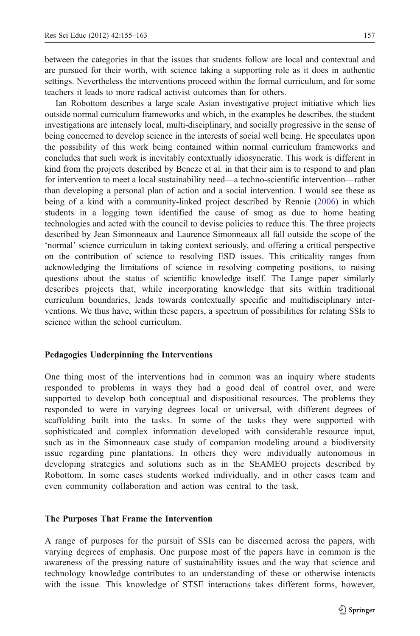between the categories in that the issues that students follow are local and contextual and are pursued for their worth, with science taking a supporting role as it does in authentic settings. Nevertheless the interventions proceed within the formal curriculum, and for some teachers it leads to more radical activist outcomes than for others.

Ian Robottom describes a large scale Asian investigative project initiative which lies outside normal curriculum frameworks and which, in the examples he describes, the student investigations are intensely local, multi-disciplinary, and socially progressive in the sense of being concerned to develop science in the interests of social well being. He speculates upon the possibility of this work being contained within normal curriculum frameworks and concludes that such work is inevitably contextually idiosyncratic. This work is different in kind from the projects described by Bencze et al. in that their aim is to respond to and plan for intervention to meet a local sustainability need—a techno-scientific intervention—rather than developing a personal plan of action and a social intervention. I would see these as being of a kind with a community-linked project described by Rennie [\(2006](#page-7-0)) in which students in a logging town identified the cause of smog as due to home heating technologies and acted with the council to devise policies to reduce this. The three projects described by Jean Simonneaux and Laurence Simonneaux all fall outside the scope of the 'normal' science curriculum in taking context seriously, and offering a critical perspective on the contribution of science to resolving ESD issues. This criticality ranges from acknowledging the limitations of science in resolving competing positions, to raising questions about the status of scientific knowledge itself. The Lange paper similarly describes projects that, while incorporating knowledge that sits within traditional curriculum boundaries, leads towards contextually specific and multidisciplinary interventions. We thus have, within these papers, a spectrum of possibilities for relating SSIs to science within the school curriculum.

## Pedagogies Underpinning the Interventions

One thing most of the interventions had in common was an inquiry where students responded to problems in ways they had a good deal of control over, and were supported to develop both conceptual and dispositional resources. The problems they responded to were in varying degrees local or universal, with different degrees of scaffolding built into the tasks. In some of the tasks they were supported with sophisticated and complex information developed with considerable resource input, such as in the Simonneaux case study of companion modeling around a biodiversity issue regarding pine plantations. In others they were individually autonomous in developing strategies and solutions such as in the SEAMEO projects described by Robottom. In some cases students worked individually, and in other cases team and even community collaboration and action was central to the task.

## The Purposes That Frame the Intervention

A range of purposes for the pursuit of SSIs can be discerned across the papers, with varying degrees of emphasis. One purpose most of the papers have in common is the awareness of the pressing nature of sustainability issues and the way that science and technology knowledge contributes to an understanding of these or otherwise interacts with the issue. This knowledge of STSE interactions takes different forms, however,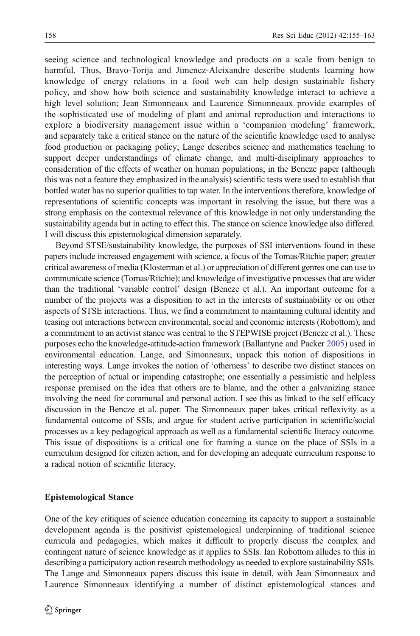seeing science and technological knowledge and products on a scale from benign to harmful. Thus, Bravo-Torija and Jimenez-Aleixandre describe students learning how knowledge of energy relations in a food web can help design sustainable fishery policy, and show how both science and sustainability knowledge interact to achieve a high level solution; Jean Simonneaux and Laurence Simonneaux provide examples of the sophisticated use of modeling of plant and animal reproduction and interactions to explore a biodiversity management issue within a 'companion modeling' framework, and separately take a critical stance on the nature of the scientific knowledge used to analyse food production or packaging policy; Lange describes science and mathematics teaching to support deeper understandings of climate change, and multi-disciplinary approaches to consideration of the effects of weather on human populations; in the Bencze paper (although this was not a feature they emphasized in the analysis) scientific tests were used to establish that bottled water has no superior qualities to tap water. In the interventions therefore, knowledge of representations of scientific concepts was important in resolving the issue, but there was a strong emphasis on the contextual relevance of this knowledge in not only understanding the sustainability agenda but in acting to effect this. The stance on science knowledge also differed. I will discuss this epistemological dimension separately.

Beyond STSE/sustainability knowledge, the purposes of SSI interventions found in these papers include increased engagement with science, a focus of the Tomas/Ritchie paper; greater critical awareness of media (Klosterman et al.) or appreciation of different genres one can use to communicate science (Tomas/Ritchie); and knowledge of investigative processes that are wider than the traditional 'variable control' design (Bencze et al.). An important outcome for a number of the projects was a disposition to act in the interests of sustainability or on other aspects of STSE interactions. Thus, we find a commitment to maintaining cultural identity and teasing out interactions between environmental, social and economic interests (Robottom); and a commitment to an activist stance was central to the STEPWISE project (Bencze et al.). These purposes echo the knowledge-attitude-action framework (Ballantyne and Packer [2005\)](#page-7-0) used in environmental education. Lange, and Simonneaux, unpack this notion of dispositions in interesting ways. Lange invokes the notion of 'otherness' to describe two distinct stances on the perception of actual or impending catastrophe; one essentially a pessimistic and helpless response premised on the idea that others are to blame, and the other a galvanizing stance involving the need for communal and personal action. I see this as linked to the self efficacy discussion in the Bencze et al. paper. The Simonneaux paper takes critical reflexivity as a fundamental outcome of SSIs, and argue for student active participation in scientific/social processes as a key pedagogical approach as well as a fundamental scientific literacy outcome. This issue of dispositions is a critical one for framing a stance on the place of SSIs in a curriculum designed for citizen action, and for developing an adequate curriculum response to a radical notion of scientific literacy.

#### Epistemological Stance

One of the key critiques of science education concerning its capacity to support a sustainable development agenda is the positivist epistemological underpinning of traditional science curricula and pedagogies, which makes it difficult to properly discuss the complex and contingent nature of science knowledge as it applies to SSIs. Ian Robottom alludes to this in describing a participatory action research methodology as needed to explore sustainability SSIs. The Lange and Simonneaux papers discuss this issue in detail, with Jean Simonneaux and Laurence Simonneaux identifying a number of distinct epistemological stances and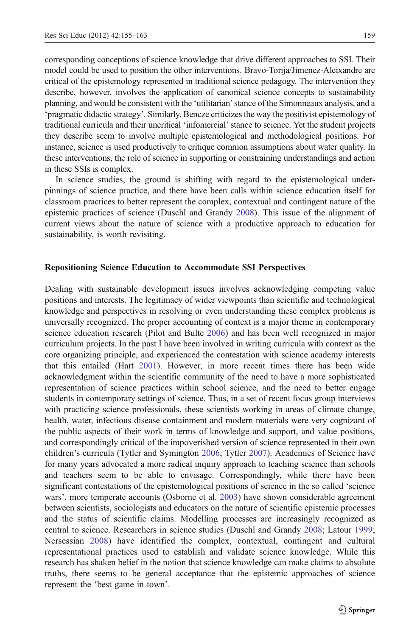corresponding conceptions of science knowledge that drive different approaches to SSI. Their model could be used to position the other interventions. Bravo-Torija/Jimenez-Aleixandre are critical of the epistemology represented in traditional science pedagogy. The intervention they describe, however, involves the application of canonical science concepts to sustainability planning, and would be consistent with the 'utilitarian'stance of the Simonneaux analysis, and a 'pragmatic didactic strategy'. Similarly, Bencze criticizes the way the positivist epistemology of traditional curricula and their uncritical 'infomercial'stance to science. Yet the student projects they describe seem to involve multiple epistemological and methodological positions. For instance, science is used productively to critique common assumptions about water quality. In these interventions, the role of science in supporting or constraining understandings and action in these SSIs is complex.

In science studies, the ground is shifting with regard to the epistemological underpinnings of science practice, and there have been calls within science education itself for classroom practices to better represent the complex, contextual and contingent nature of the epistemic practices of science (Duschl and Grandy [2008](#page-7-0)). This issue of the alignment of current views about the nature of science with a productive approach to education for sustainability, is worth revisiting.

## Repositioning Science Education to Accommodate SSI Perspectives

Dealing with sustainable development issues involves acknowledging competing value positions and interests. The legitimacy of wider viewpoints than scientific and technological knowledge and perspectives in resolving or even understanding these complex problems is universally recognized. The proper accounting of context is a major theme in contemporary science education research (Pilot and Bulte [2006\)](#page-7-0) and has been well recognized in major curriculum projects. In the past I have been involved in writing curricula with context as the core organizing principle, and experienced the contestation with science academy interests that this entailed (Hart [2001](#page-7-0)). However, in more recent times there has been wide acknowledgment within the scientific community of the need to have a more sophisticated representation of science practices within school science, and the need to better engage students in contemporary settings of science. Thus, in a set of recent focus group interviews with practicing science professionals, these scientists working in areas of climate change, health, water, infectious disease containment and modern materials were very cognizant of the public aspects of their work in terms of knowledge and support, and value positions, and correspondingly critical of the impoverished version of science represented in their own children's curricula (Tytler and Symington [2006](#page-8-0); Tytler [2007](#page-8-0)). Academies of Science have for many years advocated a more radical inquiry approach to teaching science than schools and teachers seem to be able to envisage. Correspondingly, while there have been significant contestations of the epistemological positions of science in the so called 'science wars', more temperate accounts (Osborne et al. [2003](#page-7-0)) have shown considerable agreement between scientists, sociologists and educators on the nature of scientific epistemic processes and the status of scientific claims. Modelling processes are increasingly recognized as central to science. Researchers in science studies (Duschl and Grandy [2008](#page-7-0); Latour [1999](#page-7-0); Nersessian [2008](#page-7-0)) have identified the complex, contextual, contingent and cultural representational practices used to establish and validate science knowledge. While this research has shaken belief in the notion that science knowledge can make claims to absolute truths, there seems to be general acceptance that the epistemic approaches of science represent the 'best game in town'.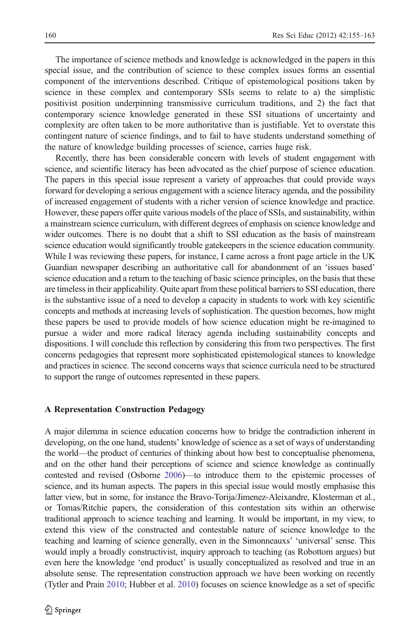The importance of science methods and knowledge is acknowledged in the papers in this special issue, and the contribution of science to these complex issues forms an essential component of the interventions described. Critique of epistemological positions taken by science in these complex and contemporary SSIs seems to relate to a) the simplistic positivist position underpinning transmissive curriculum traditions, and 2) the fact that contemporary science knowledge generated in these SSI situations of uncertainty and complexity are often taken to be more authoritative than is justifiable. Yet to overstate this contingent nature of science findings, and to fail to have students understand something of the nature of knowledge building processes of science, carries huge risk.

Recently, there has been considerable concern with levels of student engagement with science, and scientific literacy has been advocated as the chief purpose of science education. The papers in this special issue represent a variety of approaches that could provide ways forward for developing a serious engagement with a science literacy agenda, and the possibility of increased engagement of students with a richer version of science knowledge and practice. However, these papers offer quite various models of the place of SSIs, and sustainability, within a mainstream science curriculum, with different degrees of emphasis on science knowledge and wider outcomes. There is no doubt that a shift to SSI education as the basis of mainstream science education would significantly trouble gatekeepers in the science education community. While I was reviewing these papers, for instance, I came across a front page article in the UK Guardian newspaper describing an authoritative call for abandonment of an 'issues based' science education and a return to the teaching of basic science principles, on the basis that these are timeless in their applicability. Quite apart from these political barriers to SSI education, there is the substantive issue of a need to develop a capacity in students to work with key scientific concepts and methods at increasing levels of sophistication. The question becomes, how might these papers be used to provide models of how science education might be re-imagined to pursue a wider and more radical literacy agenda including sustainability concepts and dispositions. I will conclude this reflection by considering this from two perspectives. The first concerns pedagogies that represent more sophisticated epistemological stances to knowledge and practices in science. The second concerns ways that science curricula need to be structured to support the range of outcomes represented in these papers.

#### A Representation Construction Pedagogy

A major dilemma in science education concerns how to bridge the contradiction inherent in developing, on the one hand, students' knowledge of science as a set of ways of understanding the world—the product of centuries of thinking about how best to conceptualise phenomena, and on the other hand their perceptions of science and science knowledge as continually contested and revised (Osborne [2006\)](#page-7-0)—to introduce them to the epistemic processes of science, and its human aspects. The papers in this special issue would mostly emphasise this latter view, but in some, for instance the Bravo-Torija/Jimenez-Aleixandre, Klosterman et al., or Tomas/Ritchie papers, the consideration of this contestation sits within an otherwise traditional approach to science teaching and learning. It would be important, in my view, to extend this view of the constructed and contestable nature of science knowledge to the teaching and learning of science generally, even in the Simonneauxs' 'universal' sense. This would imply a broadly constructivist, inquiry approach to teaching (as Robottom argues) but even here the knowledge 'end product' is usually conceptualized as resolved and true in an absolute sense. The representation construction approach we have been working on recently (Tytler and Prain [2010](#page-8-0); Hubber et al. [2010\)](#page-7-0) focuses on science knowledge as a set of specific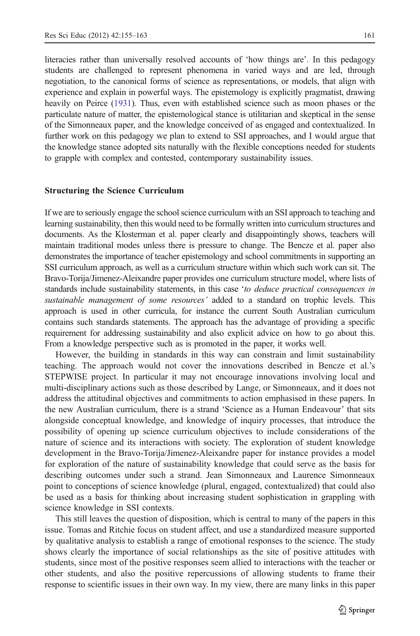literacies rather than universally resolved accounts of 'how things are'. In this pedagogy students are challenged to represent phenomena in varied ways and are led, through negotiation, to the canonical forms of science as representations, or models, that align with experience and explain in powerful ways. The epistemology is explicitly pragmatist, drawing heavily on Peirce [\(1931\)](#page-7-0). Thus, even with established science such as moon phases or the particulate nature of matter, the epistemological stance is utilitarian and skeptical in the sense of the Simonneaux paper, and the knowledge conceived of as engaged and contextualized. In further work on this pedagogy we plan to extend to SSI approaches, and I would argue that the knowledge stance adopted sits naturally with the flexible conceptions needed for students to grapple with complex and contested, contemporary sustainability issues.

## Structuring the Science Curriculum

If we are to seriously engage the school science curriculum with an SSI approach to teaching and learning sustainability, then this would need to be formally written into curriculum structures and documents. As the Klosterman et al. paper clearly and disappointingly shows, teachers will maintain traditional modes unless there is pressure to change. The Bencze et al. paper also demonstrates the importance of teacher epistemology and school commitments in supporting an SSI curriculum approach, as well as a curriculum structure within which such work can sit. The Bravo-Torija/Jimenez-Aleixandre paper provides one curriculum structure model, where lists of standards include sustainability statements, in this case 'to deduce practical consequences in sustainable management of some resources' added to a standard on trophic levels. This approach is used in other curricula, for instance the current South Australian curriculum contains such standards statements. The approach has the advantage of providing a specific requirement for addressing sustainability and also explicit advice on how to go about this. From a knowledge perspective such as is promoted in the paper, it works well.

However, the building in standards in this way can constrain and limit sustainability teaching. The approach would not cover the innovations described in Bencze et al.'s STEPWISE project. In particular it may not encourage innovations involving local and multi-disciplinary actions such as those described by Lange, or Simonneaux, and it does not address the attitudinal objectives and commitments to action emphasised in these papers. In the new Australian curriculum, there is a strand 'Science as a Human Endeavour' that sits alongside conceptual knowledge, and knowledge of inquiry processes, that introduce the possibility of opening up science curriculum objectives to include considerations of the nature of science and its interactions with society. The exploration of student knowledge development in the Bravo-Torija/Jimenez-Aleixandre paper for instance provides a model for exploration of the nature of sustainability knowledge that could serve as the basis for describing outcomes under such a strand. Jean Simonneaux and Laurence Simonneaux point to conceptions of science knowledge (plural, engaged, contextualized) that could also be used as a basis for thinking about increasing student sophistication in grappling with science knowledge in SSI contexts.

This still leaves the question of disposition, which is central to many of the papers in this issue. Tomas and Ritchie focus on student affect, and use a standardized measure supported by qualitative analysis to establish a range of emotional responses to the science. The study shows clearly the importance of social relationships as the site of positive attitudes with students, since most of the positive responses seem allied to interactions with the teacher or other students, and also the positive repercussions of allowing students to frame their response to scientific issues in their own way. In my view, there are many links in this paper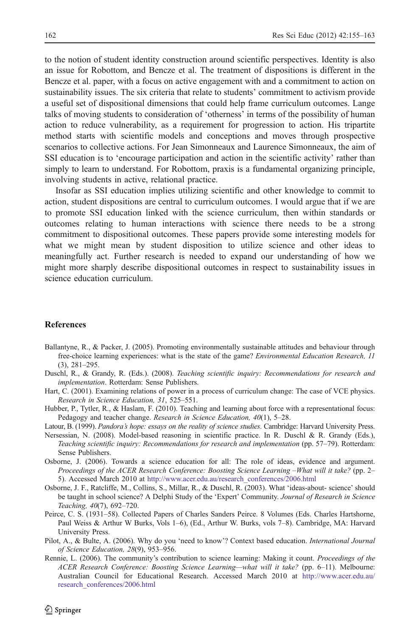<span id="page-7-0"></span>to the notion of student identity construction around scientific perspectives. Identity is also an issue for Robottom, and Bencze et al. The treatment of dispositions is different in the Bencze et al. paper, with a focus on active engagement with and a commitment to action on sustainability issues. The six criteria that relate to students' commitment to activism provide a useful set of dispositional dimensions that could help frame curriculum outcomes. Lange talks of moving students to consideration of 'otherness' in terms of the possibility of human action to reduce vulnerability, as a requirement for progression to action. His tripartite method starts with scientific models and conceptions and moves through prospective scenarios to collective actions. For Jean Simonneaux and Laurence Simonneaux, the aim of SSI education is to 'encourage participation and action in the scientific activity' rather than simply to learn to understand. For Robottom, praxis is a fundamental organizing principle, involving students in active, relational practice.

Insofar as SSI education implies utilizing scientific and other knowledge to commit to action, student dispositions are central to curriculum outcomes. I would argue that if we are to promote SSI education linked with the science curriculum, then within standards or outcomes relating to human interactions with science there needs to be a strong commitment to dispositional outcomes. These papers provide some interesting models for what we might mean by student disposition to utilize science and other ideas to meaningfully act. Further research is needed to expand our understanding of how we might more sharply describe dispositional outcomes in respect to sustainability issues in science education curriculum.

## **References**

- Ballantyne, R., & Packer, J. (2005). Promoting environmentally sustainable attitudes and behaviour through free-choice learning experiences: what is the state of the game? Environmental Education Research, 11 (3), 281–295.
- Duschl, R., & Grandy, R. (Eds.). (2008). Teaching scientific inquiry: Recommendations for research and implementation. Rotterdam: Sense Publishers.
- Hart, C. (2001). Examining relations of power in a process of curriculum change: The case of VCE physics. Research in Science Education, 31, 525–551.
- Hubber, P., Tytler, R., & Haslam, F. (2010). Teaching and learning about force with a representational focus: Pedagogy and teacher change. Research in Science Education, 40(1), 5–28.
- Latour, B. (1999). Pandora's hope: essays on the reality of science studies. Cambridge: Harvard University Press.
- Nersessian, N. (2008). Model-based reasoning in scientific practice. In R. Duschl & R. Grandy (Eds.), Teaching scientific inquiry: Recommendations for research and implementation (pp. 57–79). Rotterdam: Sense Publishers.
- Osborne, J. (2006). Towards a science education for all: The role of ideas, evidence and argument. Proceedings of the ACER Research Conference: Boosting Science Learning –What will it take? (pp. 2– 5). Accessed March 2010 at [http://www.acer.edu.au/research\\_conferences/2006.html](http://www.acer.edu.au/research_conferences/2006.html)
- Osborne, J. F., Ratcliffe, M., Collins, S., Millar, R., & Duschl, R. (2003). What 'ideas-about- science' should be taught in school science? A Delphi Study of the 'Expert' Community. Journal of Research in Science Teaching, 40(7), 692–720.
- Peirce, C. S. (1931–58). Collected Papers of Charles Sanders Peirce. 8 Volumes (Eds. Charles Hartshorne, Paul Weiss & Arthur W Burks, Vols 1–6), (Ed., Arthur W. Burks, vols 7–8). Cambridge, MA: Harvard University Press.
- Pilot, A., & Bulte, A. (2006). Why do you 'need to know'? Context based education. *International Journal* of Science Education, 28(9), 953–956.
- Rennie, L. (2006). The community's contribution to science learning: Making it count. Proceedings of the ACER Research Conference: Boosting Science Learning—what will it take? (pp. 6–11). Melbourne: Australian Council for Educational Research. Accessed March 2010 at [http://www.acer.edu.au/](http://www.acer.edu.au/research_conferences/2006.html) [research\\_conferences/2006.html](http://www.acer.edu.au/research_conferences/2006.html)